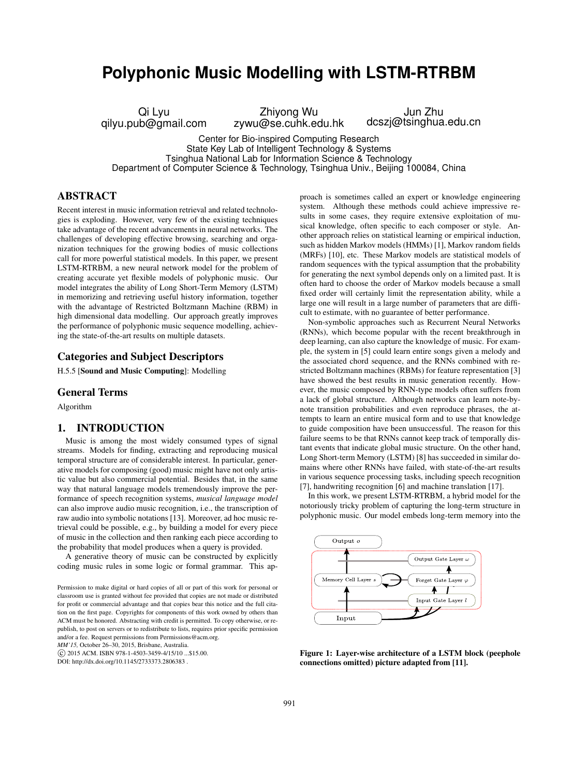# **Polyphonic Music Modelling with LSTM-RTRBM**

Qi Lyu qilyu.pub@gmail.com Zhiyong Wu

zywu@se.cuhk.edu.hk

Jun Zhu dcszj@tsinghua.edu.cn

Center for Bio-inspired Computing Research State Key Lab of Intelligent Technology & Systems Tsinghua National Lab for Information Science & Technology Department of Computer Science & Technology, Tsinghua Univ., Beijing 100084, China

# ABSTRACT

Recent interest in music information retrieval and related technologies is exploding. However, very few of the existing techniques take advantage of the recent advancements in neural networks. The challenges of developing effective browsing, searching and organization techniques for the growing bodies of music collections call for more powerful statistical models. In this paper, we present LSTM-RTRBM, a new neural network model for the problem of creating accurate yet flexible models of polyphonic music. Our model integrates the ability of Long Short-Term Memory (LSTM) in memorizing and retrieving useful history information, together with the advantage of Restricted Boltzmann Machine (RBM) in high dimensional data modelling. Our approach greatly improves the performance of polyphonic music sequence modelling, achieving the state-of-the-art results on multiple datasets.

## Categories and Subject Descriptors

H.5.5 [Sound and Music Computing]: Modelling

#### General Terms

Algorithm

#### 1. INTRODUCTION

Music is among the most widely consumed types of signal streams. Models for finding, extracting and reproducing musical temporal structure are of considerable interest. In particular, generative models for composing (good) music might have not only artistic value but also commercial potential. Besides that, in the same way that natural language models tremendously improve the performance of speech recognition systems, *musical language model* can also improve audio music recognition, i.e., the transcription of raw audio into symbolic notations [13]. Moreover, ad hoc music retrieval could be possible, e.g., by building a model for every piece of music in the collection and then ranking each piece according to the probability that model produces when a query is provided.

A generative theory of music can be constructed by explicitly coding music rules in some logic or formal grammar. This ap-

*MM'15,* October 26–30, 2015, Brisbane, Australia.

c 2015 ACM. ISBN 978-1-4503-3459-4/15/10 ...\$15.00.

proach is sometimes called an expert or knowledge engineering system. Although these methods could achieve impressive results in some cases, they require extensive exploitation of musical knowledge, often specific to each composer or style. Another approach relies on statistical learning or empirical induction, such as hidden Markov models (HMMs) [1], Markov random fields (MRFs) [10], etc. These Markov models are statistical models of random sequences with the typical assumption that the probability for generating the next symbol depends only on a limited past. It is often hard to choose the order of Markov models because a small fixed order will certainly limit the representation ability, while a large one will result in a large number of parameters that are difficult to estimate, with no guarantee of better performance.

Non-symbolic approaches such as Recurrent Neural Networks (RNNs), which become popular with the recent breakthrough in deep learning, can also capture the knowledge of music. For example, the system in [5] could learn entire songs given a melody and the associated chord sequence, and the RNNs combined with restricted Boltzmann machines (RBMs) for feature representation [3] have showed the best results in music generation recently. However, the music composed by RNN-type models often suffers from a lack of global structure. Although networks can learn note-bynote transition probabilities and even reproduce phrases, the attempts to learn an entire musical form and to use that knowledge to guide composition have been unsuccessful. The reason for this failure seems to be that RNNs cannot keep track of temporally distant events that indicate global music structure. On the other hand, Long Short-term Memory (LSTM) [8] has succeeded in similar domains where other RNNs have failed, with state-of-the-art results in various sequence processing tasks, including speech recognition [7], handwriting recognition [6] and machine translation [17].

In this work, we present LSTM-RTRBM, a hybrid model for the notoriously tricky problem of capturing the long-term structure in polyphonic music. Our model embeds long-term memory into the



Figure 1: Layer-wise architecture of a LSTM block (peephole connections omitted) picture adapted from [11].

Permission to make digital or hard copies of all or part of this work for personal or classroom use is granted without fee provided that copies are not made or distributed for profit or commercial advantage and that copies bear this notice and the full citation on the first page. Copyrights for components of this work owned by others than ACM must be honored. Abstracting with credit is permitted. To copy otherwise, or republish, to post on servers or to redistribute to lists, requires prior specific permission and/or a fee. Request permissions from Permissions@acm.org.

DOI: http://dx.doi.org/10.1145/2733373.2806383 .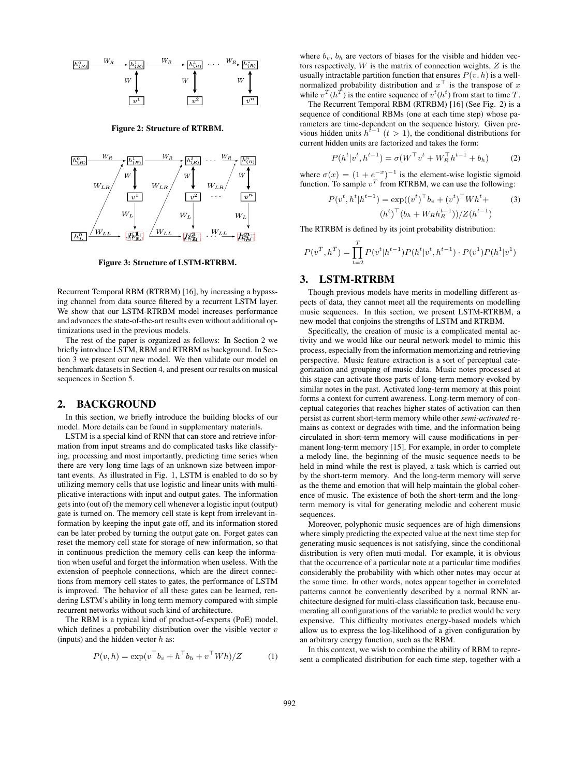

Figure 2: Structure of RTRBM.



Figure 3: Structure of LSTM-RTRBM.

Recurrent Temporal RBM (RTRBM) [16], by increasing a bypassing channel from data source filtered by a recurrent LSTM layer. We show that our LSTM-RTRBM model increases performance and advances the state-of-the-art results even without additional optimizations used in the previous models.

The rest of the paper is organized as follows: In Section 2 we briefly introduce LSTM, RBM and RTRBM as background. In Section 3 we present our new model. We then validate our model on benchmark datasets in Section 4, and present our results on musical sequences in Section 5.

## 2. BACKGROUND

In this section, we briefly introduce the building blocks of our model. More details can be found in supplementary materials.

LSTM is a special kind of RNN that can store and retrieve information from input streams and do complicated tasks like classifying, processing and most importantly, predicting time series when there are very long time lags of an unknown size between important events. As illustrated in Fig. 1, LSTM is enabled to do so by utilizing memory cells that use logistic and linear units with multiplicative interactions with input and output gates. The information gets into (out of) the memory cell whenever a logistic input (output) gate is turned on. The memory cell state is kept from irrelevant information by keeping the input gate off, and its information stored can be later probed by turning the output gate on. Forget gates can reset the memory cell state for storage of new information, so that in continuous prediction the memory cells can keep the information when useful and forget the information when useless. With the extension of peephole connections, which are the direct connections from memory cell states to gates, the performance of LSTM is improved. The behavior of all these gates can be learned, rendering LSTM's ability in long term memory compared with simple recurrent networks without such kind of architecture.

The RBM is a typical kind of product-of-experts (PoE) model, which defines a probability distribution over the visible vector  $v$ (inputs) and the hidden vector  $h$  as:

$$
P(v, h) = \exp(v^\top b_v + h^\top b_h + v^\top Wh)/Z \tag{1}
$$

where  $b_v$ ,  $b_h$  are vectors of biases for the visible and hidden vectors respectively,  $W$  is the matrix of connection weights,  $Z$  is the usually intractable partition function that ensures  $P(v, h)$  is a wellnormalized probability distribution and  $x^{\top}$  is the transpose of x while  $v^T(h^T)$  is the entire sequence of  $v^t(h^t)$  from start to time T.

The Recurrent Temporal RBM (RTRBM) [16] (See Fig. 2) is a sequence of conditional RBMs (one at each time step) whose parameters are time-dependent on the sequence history. Given previous hidden units  $h^{t-1}$  ( $t > 1$ ), the conditional distributions for current hidden units are factorized and takes the form:

$$
P(h^t|v^t, h^{t-1}) = \sigma(W^{\top} v^t + W_R^{\top} h^{t-1} + b_h)
$$
 (2)

where  $\sigma(x) = (1 + e^{-x})^{-1}$  is the element-wise logistic sigmoid function. To sample  $v<sup>T</sup>$  from RTRBM, we can use the following:

$$
P(v^t, h^t | h^{t-1}) = \exp((v^t)^\top b_v + (v^t)^\top W h^t + (b^t)^\top (b_h + W_R h_R^{t-1}))/Z(h^{t-1})
$$
 (3)

The RTRBM is defined by its joint probability distribution:

$$
P(v^T, h^T) = \prod_{t=2}^T P(v^t | h^{t-1}) P(h^t | v^t, h^{t-1}) \cdot P(v^1) P(h^1 | v^1)
$$

#### 3. LSTM-RTRBM

Though previous models have merits in modelling different aspects of data, they cannot meet all the requirements on modelling music sequences. In this section, we present LSTM-RTRBM, a new model that conjoins the strengths of LSTM and RTRBM.

Specifically, the creation of music is a complicated mental activity and we would like our neural network model to mimic this process, especially from the information memorizing and retrieving perspective. Music feature extraction is a sort of perceptual categorization and grouping of music data. Music notes processed at this stage can activate those parts of long-term memory evoked by similar notes in the past. Activated long-term memory at this point forms a context for current awareness. Long-term memory of conceptual categories that reaches higher states of activation can then persist as current short-term memory while other *semi-activated* remains as context or degrades with time, and the information being circulated in short-term memory will cause modifications in permanent long-term memory [15]. For example, in order to complete a melody line, the beginning of the music sequence needs to be held in mind while the rest is played, a task which is carried out by the short-term memory. And the long-term memory will serve as the theme and emotion that will help maintain the global coherence of music. The existence of both the short-term and the longterm memory is vital for generating melodic and coherent music sequences.

Moreover, polyphonic music sequences are of high dimensions where simply predicting the expected value at the next time step for generating music sequences is not satisfying, since the conditional distribution is very often muti-modal. For example, it is obvious that the occurrence of a particular note at a particular time modifies considerably the probability with which other notes may occur at the same time. In other words, notes appear together in correlated patterns cannot be conveniently described by a normal RNN architecture designed for multi-class classification task, because enumerating all configurations of the variable to predict would be very expensive. This difficulty motivates energy-based models which allow us to express the log-likelihood of a given configuration by an arbitrary energy function, such as the RBM.

In this context, we wish to combine the ability of RBM to represent a complicated distribution for each time step, together with a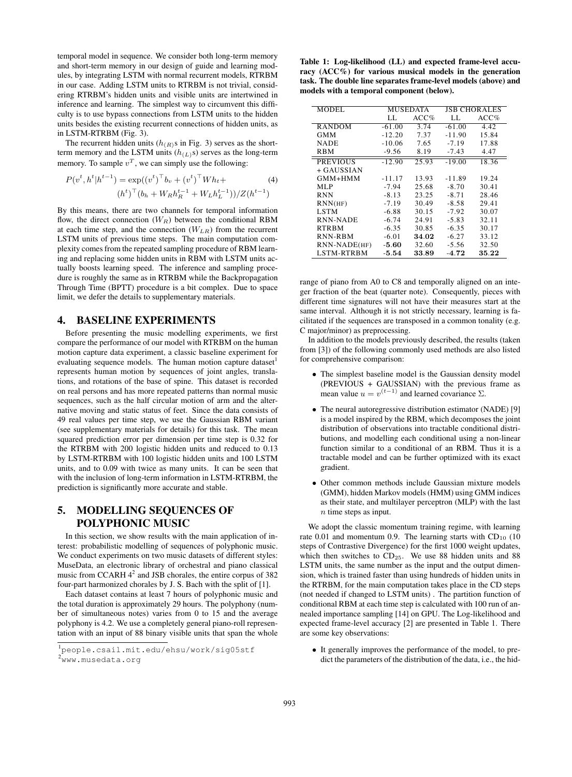temporal model in sequence. We consider both long-term memory and short-term memory in our design of guide and learning modules, by integrating LSTM with normal recurrent models, RTRBM in our case. Adding LSTM units to RTRBM is not trivial, considering RTRBM's hidden units and visible units are intertwined in inference and learning. The simplest way to circumvent this difficulty is to use bypass connections from LSTM units to the hidden units besides the existing recurrent connections of hidden units, as in LSTM-RTRBM (Fig. 3).

The recurrent hidden units  $(h_{(R)S}$  in Fig. 3) serves as the shortterm memory and the LSTM units  $(h_{(L)}s)$  serves as the long-term memory. To sample  $v<sup>T</sup>$ , we can simply use the following:

$$
P(v^t, h^t | h^{t-1}) = \exp((v^t)^\top b_v + (v^t)^\top W h_t + (4)^\top (b_h + W_R h_R^{t-1} + W_L h_L^{t-1})) / Z(h^{t-1})
$$

By this means, there are two channels for temporal information flow, the direct connection  $(W_R)$  between the conditional RBM at each time step, and the connection  $(W_{LR})$  from the recurrent LSTM units of previous time steps. The main computation complexity comes from the repeated sampling procedure of RBM learning and replacing some hidden units in RBM with LSTM units actually boosts learning speed. The inference and sampling procedure is roughly the same as in RTRBM while the Backpropagation Through Time (BPTT) procedure is a bit complex. Due to space limit, we defer the details to supplementary materials.

## 4. BASELINE EXPERIMENTS

Before presenting the music modelling experiments, we first compare the performance of our model with RTRBM on the human motion capture data experiment, a classic baseline experiment for evaluating sequence models. The human motion capture dataset $<sup>1</sup>$ </sup> represents human motion by sequences of joint angles, translations, and rotations of the base of spine. This dataset is recorded on real persons and has more repeated patterns than normal music sequences, such as the half circular motion of arm and the alternative moving and static status of feet. Since the data consists of 49 real values per time step, we use the Gaussian RBM variant (see supplementary materials for details) for this task. The mean squared prediction error per dimension per time step is 0.32 for the RTRBM with 200 logistic hidden units and reduced to 0.13 by LSTM-RTRBM with 100 logistic hidden units and 100 LSTM units, and to 0.09 with twice as many units. It can be seen that with the inclusion of long-term information in LSTM-RTRBM, the prediction is significantly more accurate and stable.

# 5. MODELLING SEQUENCES OF POLYPHONIC MUSIC

In this section, we show results with the main application of interest: probabilistic modelling of sequences of polyphonic music. We conduct experiments on two music datasets of different styles: MuseData, an electronic library of orchestral and piano classical music from CCARH  $4^2$  and JSB chorales, the entire corpus of 382 four-part harmonized chorales by J. S. Bach with the split of [1].

Each dataset contains at least 7 hours of polyphonic music and the total duration is approximately 29 hours. The polyphony (number of simultaneous notes) varies from 0 to 15 and the average polyphony is 4.2. We use a completely general piano-roll representation with an input of 88 binary visible units that span the whole

Table 1: Log-likelihood (LL) and expected frame-level accuracy (ACC%) for various musical models in the generation task. The double line separates frame-level models (above) and models with a temporal component (below).

| MODEL             | MUSEDATA |         | <b>JSB CHORALES</b> |                    |
|-------------------|----------|---------|---------------------|--------------------|
|                   | LL.      | $ACC\%$ | LL.                 | ACC%               |
| <b>RANDOM</b>     | $-61.00$ | 3.74    | $-61.00$            | 4.42               |
| GMM               | $-12.20$ | 7.37    | $-11.90$            | 15.84              |
| NADE              | $-10.06$ | 7.65    | $-7.19$             | 17.88              |
| RBM               | -9.56    | 8.19    | $-7.43$             | 4.47               |
| <b>PREVIOUS</b>   | $-12.90$ | 25.93   | $-19.00$            | $18.\overline{36}$ |
| + GAUSSIAN        |          |         |                     |                    |
| $GMM+HMM$         | $-11.17$ | 13.93   | $-11.89$            | 19.24              |
| MLP               | -7.94    | 25.68   | $-8.70$             | 30.41              |
| <b>RNN</b>        | $-8.13$  | 23.25   | $-8.71$             | 28.46              |
| RNN(HF)           | $-7.19$  | 30.49   | $-8.58$             | 29.41              |
| <b>LSTM</b>       | $-6.88$  | 30.15   | $-7.92$             | 30.07              |
| RNN-NADE          | $-6.74$  | 24.91   | $-5.83$             | 32.11              |
| <b>RTRBM</b>      | $-6.35$  | 30.85   | $-6.35$             | 30.17              |
| RNN-RBM           | $-6.01$  | 34.02   | $-6.27$             | 33.12              |
| RNN-NADE(HF)      | $-5.60$  | 32.60   | $-5.56$             | 32.50              |
| <b>LSTM-RTRBM</b> | $-5.54$  | 33.89   | -4.72               | 35.22              |

range of piano from A0 to C8 and temporally aligned on an integer fraction of the beat (quarter note). Consequently, pieces with different time signatures will not have their measures start at the same interval. Although it is not strictly necessary, learning is facilitated if the sequences are transposed in a common tonality (e.g. C major/minor) as preprocessing.

In addition to the models previously described, the results (taken from [3]) of the following commonly used methods are also listed for comprehensive comparison:

- The simplest baseline model is the Gaussian density model (PREVIOUS + GAUSSIAN) with the previous frame as mean value  $u = v^{(t-1)}$  and learned covariance  $\Sigma$ .
- The neural autoregressive distribution estimator (NADE) [9] is a model inspired by the RBM, which decomposes the joint distribution of observations into tractable conditional distributions, and modelling each conditional using a non-linear function similar to a conditional of an RBM. Thus it is a tractable model and can be further optimized with its exact gradient.
- Other common methods include Gaussian mixture models (GMM), hidden Markov models (HMM) using GMM indices as their state, and multilayer perceptron (MLP) with the last n time steps as input.

We adopt the classic momentum training regime, with learning rate 0.01 and momentum 0.9. The learning starts with  $CD_{10}$  (10 steps of Contrastive Divergence) for the first 1000 weight updates, which then switches to CD25. We use 88 hidden units and 88 LSTM units, the same number as the input and the output dimension, which is trained faster than using hundreds of hidden units in the RTRBM, for the main computation takes place in the CD steps (not needed if changed to LSTM units) . The partition function of conditional RBM at each time step is calculated with 100 run of annealed importance sampling [14] on GPU. The Log-likelihood and expected frame-level accuracy [2] are presented in Table 1. There are some key observations:

• It generally improves the performance of the model, to predict the parameters of the distribution of the data, i.e., the hid-

<sup>1</sup>people.csail.mit.edu/ehsu/work/sig05stf

 $2^{2}$ www.musedata.org